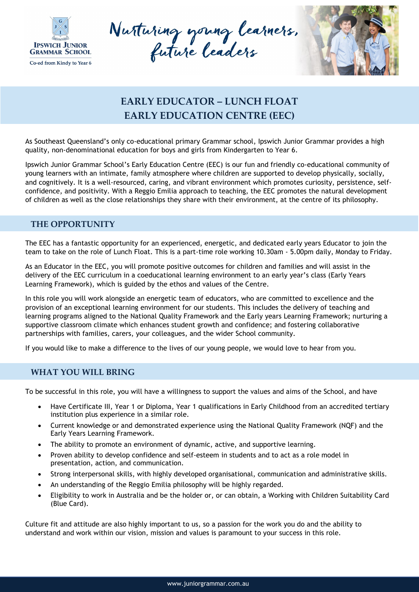

Nutturing young learners.



## **EARLY EDUCATOR – LUNCH FLOAT EARLY EDUCATION CENTRE (EEC)**

As Southeast Queensland's only co-educational primary Grammar school, Ipswich Junior Grammar provides a high quality, non-denominational education for boys and girls from Kindergarten to Year 6.

Ipswich Junior Grammar School's Early Education Centre (EEC) is our fun and friendly co-educational community of young learners with an intimate, family atmosphere where children are supported to develop physically, socially, and cognitively. It is a well-resourced, caring, and vibrant environment which promotes curiosity, persistence, selfconfidence, and positivity. With a Reggio Emilia approach to teaching, the EEC promotes the natural development of children as well as the close relationships they share with their environment, at the centre of its philosophy.

## **THE OPPORTUNITY**

The EEC has a fantastic opportunity for an experienced, energetic, and dedicated early years Educator to join the team to take on the role of Lunch Float. This is a part-time role working 10.30am - 5.00pm daily, Monday to Friday.

As an Educator in the EEC, you will promote positive outcomes for children and families and will assist in the delivery of the EEC curriculum in a coeducational learning environment to an early year's class (Early Years Learning Framework), which is guided by the ethos and values of the Centre.

In this role you will work alongside an energetic team of educators, who are committed to excellence and the provision of an exceptional learning environment for our students. This includes the delivery of teaching and learning programs aligned to the National Quality Framework and the Early years Learning Framework; nurturing a supportive classroom climate which enhances student growth and confidence; and fostering collaborative partnerships with families, carers, your colleagues, and the wider School community.

If you would like to make a difference to the lives of our young people, we would love to hear from you.

## **WHAT YOU WILL BRING**

To be successful in this role, you will have a willingness to support the values and aims of the School, and have

- Have Certificate III, Year 1 or Diploma, Year 1 qualifications in Early Childhood from an accredited tertiary institution plus experience in a similar role.
- Current knowledge or and demonstrated experience using the National Quality Framework (NQF) and the Early Years Learning Framework.
- The ability to promote an environment of dynamic, active, and supportive learning.
- Proven ability to develop confidence and self-esteem in students and to act as a role model in presentation, action, and communication.
- Strong interpersonal skills, with highly developed organisational, communication and administrative skills.
- An understanding of the Reggio Emilia philosophy will be highly regarded.
- Eligibility to work in Australia and be the holder or, or can obtain, a Working with Children Suitability Card (Blue Card).

Culture fit and attitude are also highly important to us, so a passion for the work you do and the ability to understand and work within our vision, mission and values is paramount to your success in this role.